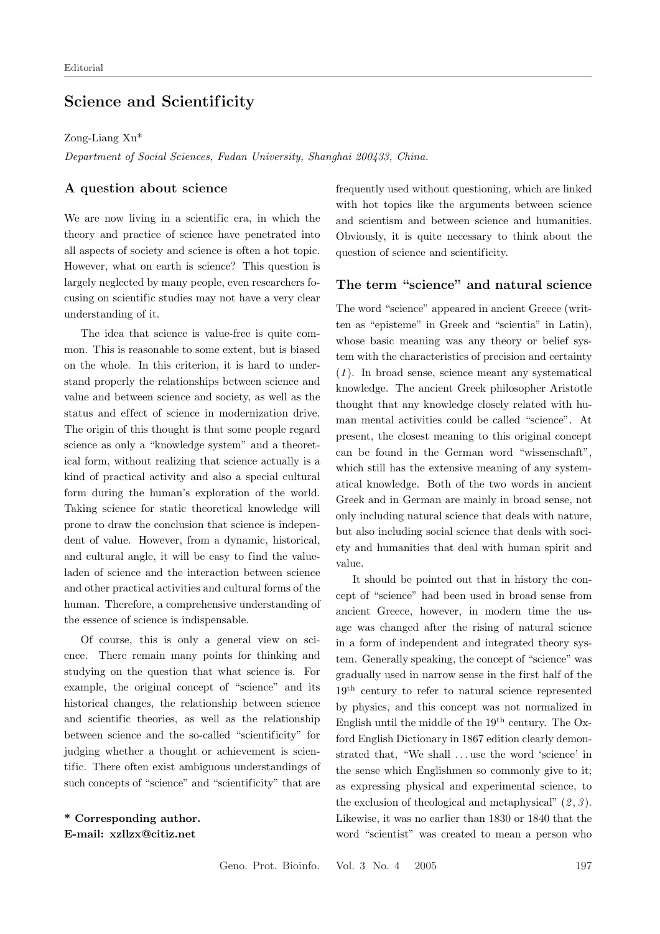# Science and Scientificity

Zong-Liang Xu\*

Department of Social Sciences, Fudan University, Shanghai 200433, China.

#### A question about science

We are now living in a scientific era, in which the theory and practice of science have penetrated into all aspects of society and science is often a hot topic. However, what on earth is science? This question is largely neglected by many people, even researchers focusing on scientific studies may not have a very clear understanding of it.

The idea that science is value-free is quite common. This is reasonable to some extent, but is biased on the whole. In this criterion, it is hard to understand properly the relationships between science and value and between science and society, as well as the status and effect of science in modernization drive. The origin of this thought is that some people regard science as only a "knowledge system" and a theoretical form, without realizing that science actually is a kind of practical activity and also a special cultural form during the human's exploration of the world. Taking science for static theoretical knowledge will prone to draw the conclusion that science is independent of value. However, from a dynamic, historical, and cultural angle, it will be easy to find the valueladen of science and the interaction between science and other practical activities and cultural forms of the human. Therefore, a comprehensive understanding of the essence of science is indispensable.

Of course, this is only a general view on science. There remain many points for thinking and studying on the question that what science is. For example, the original concept of "science" and its historical changes, the relationship between science and scientific theories, as well as the relationship between science and the so-called "scientificity" for judging whether a thought or achievement is scientific. There often exist ambiguous understandings of such concepts of "science" and "scientificity" that are

\* Corresponding author. E-mail: xzllzx@citiz.net

frequently used without questioning, which are linked with hot topics like the arguments between science and scientism and between science and humanities. Obviously, it is quite necessary to think about the question of science and scientificity.

## The term "science" and natural science

The word "science" appeared in ancient Greece (written as "episteme" in Greek and "scientia" in Latin), whose basic meaning was any theory or belief system with the characteristics of precision and certainty  $(1)$ . In broad sense, science meant any systematical knowledge. The ancient Greek philosopher Aristotle thought that any knowledge closely related with human mental activities could be called "science". At present, the closest meaning to this original concept can be found in the German word "wissenschaft", which still has the extensive meaning of any systematical knowledge. Both of the two words in ancient Greek and in German are mainly in broad sense, not only including natural science that deals with nature, but also including social science that deals with society and humanities that deal with human spirit and value.

It should be pointed out that in history the concept of "science" had been used in broad sense from ancient Greece, however, in modern time the usage was changed after the rising of natural science in a form of independent and integrated theory system. Generally speaking, the concept of "science" was gradually used in narrow sense in the first half of the 19<sup>th</sup> century to refer to natural science represented by physics, and this concept was not normalized in English until the middle of the  $19<sup>th</sup>$  century. The Oxford English Dictionary in 1867 edition clearly demonstrated that, "We shall ...use the word 'science' in the sense which Englishmen so commonly give to it; as expressing physical and experimental science, to the exclusion of theological and metaphysical"  $(2, 3)$ . Likewise, it was no earlier than 1830 or 1840 that the word "scientist" was created to mean a person who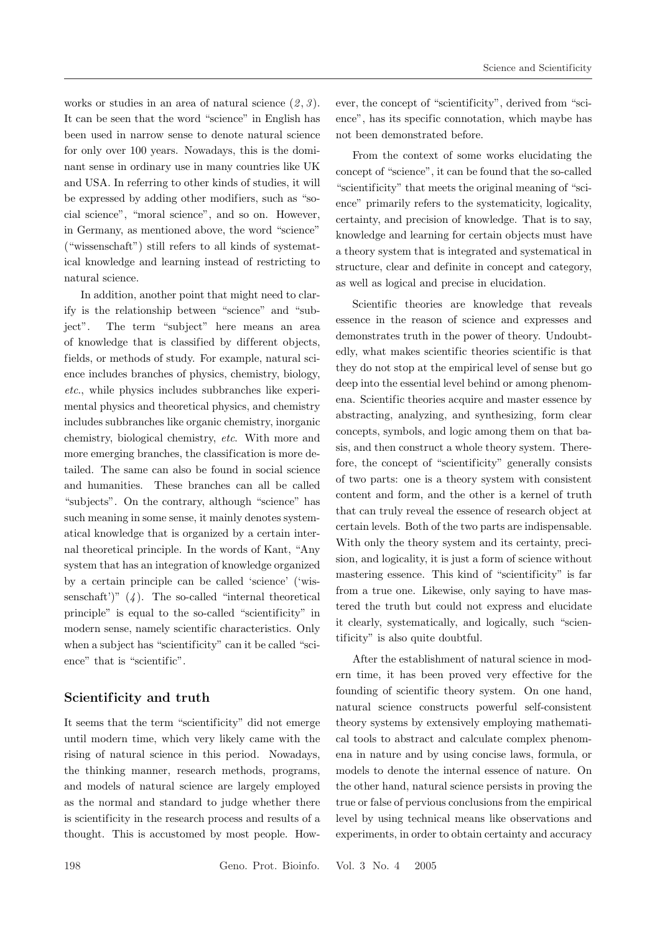works or studies in an area of natural science  $(2, 3)$ . It can be seen that the word "science" in English has been used in narrow sense to denote natural science for only over 100 years. Nowadays, this is the dominant sense in ordinary use in many countries like UK and USA. In referring to other kinds of studies, it will be expressed by adding other modifiers, such as "social science", "moral science", and so on. However, in Germany, as mentioned above, the word "science" ("wissenschaft") still refers to all kinds of systematical knowledge and learning instead of restricting to natural science.

In addition, another point that might need to clarify is the relationship between "science" and "subject". The term "subject" here means an area of knowledge that is classified by dif ferent objects, fields, or methods of study. For example, natural science includes branches of physics, chemistry, biology, etc., while physics includes subbranches like experimental physics and theoretical physics, and chemistry includes subbranches like organic chemistry, inorganic chemistry, biological chemistry, etc. With more and more emerging branches, the classification is more detailed. The same can also be found in social science and humanities. These branches can all be called "subjects". On the contrary, although "science" has such meaning in some sense, it mainly denotes systematical knowledge that is organized by a certain internal theoretical principle. In the words of Kant, "Any system that has an integration of knowledge organized by a certain principle can be called 'science' ('wissenschaft')"  $(4)$ . The so-called "internal theoretical principle" is equal to the so-called "scientificity" in modern sense, namely scientific characteristics. Only when a subject has "scientificity" can it be called "science" that is "scientific".

## Scientificity and truth

It seems that the term "scientificity" did not emerge until modern time, which very likely came with the rising of natural science in this period. Nowadays, the thinking manner, research methods, programs, and models of natural science are largely employed as the normal and standard to judge whether there is scientificity in the research process and results of a thought. This is accustomed by most people. However, the concept of "scientificity", derived from "science", has its specific connotation, which maybe has not been demonstrated before.

From the context of some works elucidating the concept of "science", it can be found that the so-called "scientificity" that meets the original meaning of "science" primarily refers to the systematicity, logicality, certainty, and precision of knowledge. That is to say, knowledge and learning for certain objects must have a theory system that is integrated and systematical in structure, clear and definite in concept and category, as well as logical and precise in elucidation.

Scientific theories are knowledge that reveals essence in the reason of science and expresses and demonstrates truth in the power of theory. Undoubtedly, what makes scientific theories scientific is that they do not stop at the empirical level of sense but go deep into the essential level behind or among phenomena. Scientific theories acquire and master essence by abstracting, analyzing, and synthesizing, form clear concepts, symbols, and logic among them on that basis, and then construct a whole theory system. Therefore, the concept of "scientificity" generally consists of two parts: one is a theory system with consistent content and form, and the other is a kernel of truth that can truly reveal the essence of research object at certain levels. Both of the two parts are indispensable. With only the theory system and its certainty, precision, and logicality, it is just a form of science without mastering essence. This kind of "scientificity" is far from a true one. Likewise, only saying to have mastered the truth but could not express and elucidate it clearly, systematically, and logically, such "scientificity" is also quite doubtful.

After the establishment of natural science in modern time, it has been proved very effective for the founding of scientific theory system. On one hand, natural science constructs powerful self-consistent theory systems by extensively employing mathematical tools to abstract and calculate complex phenomena in nature and by using concise laws, formula, or models to denote the internal essence of nature. On the other hand, natural science persists in proving the true or false of pervious conclusions from the empirical level by using technical means like observations and experiments, in order to obtain certainty and accuracy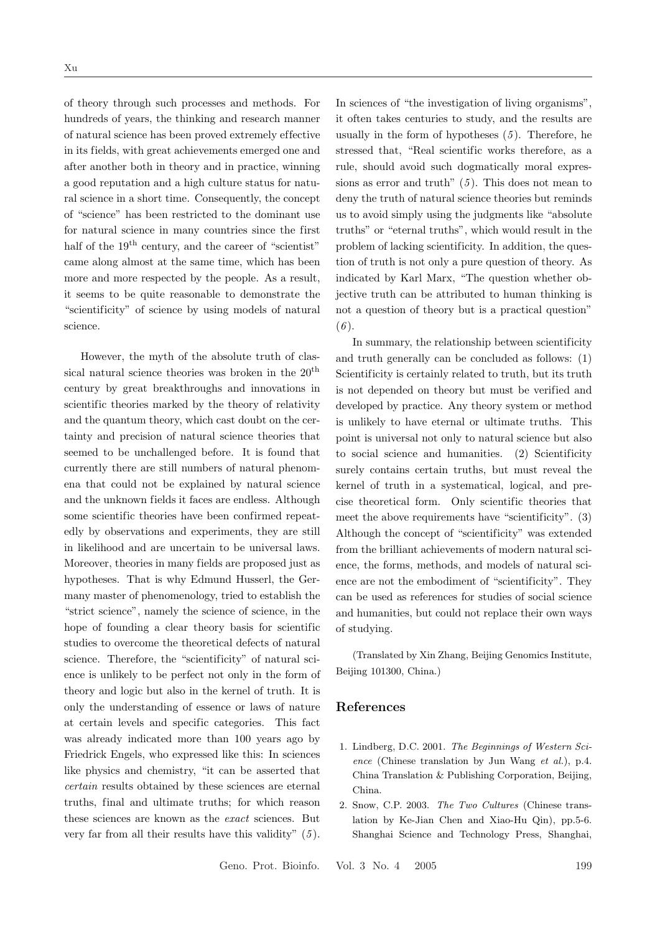of theory through such processes and methods. For hundreds of years, the thinking and research manner of natural science has been proved extremely ef fective in its fields, with great achievements emerged one and after another both in theory and in practice, winning a good reputation and a high culture status for natural science in a short time. Consequently, the concept of "science" has been restricted to the dominant use for natural science in many countries since the first half of the  $19<sup>th</sup>$  century, and the career of "scientist" came along almost at the same time, which has been more and more respected by the people. As a result, it seems to be quite reasonable to demonstrate the "scientificity" of science by using models of natural science.

However, the myth of the absolute truth of classical natural science theories was broken in the  $20<sup>th</sup>$ century by great breakthroughs and innovations in scientific theories marked by the theory of relativity and the quantum theory, which cast doubt on the certainty and precision of natural science theories that seemed to be unchallenged before. It is found that currently there are still numbers of natural phenomena that could not be explained by natural science and the unknown fields it faces are endless. Although some scientific theories have been confirmed repeatedly by observations and experiments, they are still in likelihood and are uncertain to be universal laws. Moreover, theories in many fields are proposed just as hypotheses. That is why Edmund Husserl, the Germany master of phenomenology, tried to establish the "strict science", namely the science of science, in the hope of founding a clear theory basis for scientific studies to overcome the theoretical defects of natural science. Therefore, the "scientificity" of natural science is unlikely to be perfect not only in the form of theory and logic but also in the kernel of truth. It is only the understanding of essence or laws of nature at certain levels and specific categories. This fact was already indicated more than 100 years ago by Friedrick Engels, who expressed like this: In sciences like physics and chemistry, "it can be asserted that certain results obtained by these sciences are eternal truths, final and ultimate truths; for which reason these sciences are known as the exact sciences. But very far from all their results have this validity"  $(5)$ .

In sciences of "the investigation of living organisms", it often takes centuries to study, and the results are usually in the form of hypotheses  $(5)$ . Therefore, he stressed that, "Real scientific works therefore, as a rule, should avoid such dogmatically moral expressions as error and truth"  $(5)$ . This does not mean to deny the truth of natural science theories but reminds us to avoid simply using the judgments like "absolute truths" or "eternal truths", which would result in the problem of lacking scientificity. In addition, the question of truth is not only a pure question of theory. As indicated by Karl Marx, "The question whether objective truth can be attributed to human thinking is not a question of theory but is a practical question"  $(6).$ 

In summary, the relationship between scientificity and truth generally can be concluded as follows: (1) Scientificity is certainly related to truth, but its truth is not depended on theory but must be verified and developed by practice. Any theory system or method is unlikely to have eternal or ultimate truths. This point is universal not only to natural science but also to social science and humanities. (2) Scientificity surely contains certain truths, but must reveal the kernel of truth in a systematical, logical, and precise theoretical form. Only scientific theories that meet the above requirements have "scientificity". (3) Although the concept of "scientificity" was extended from the brilliant achievements of modern natural science, the forms, methods, and models of natural science are not the embodiment of "scientificity". They can be used as references for studies of social science and humanities, but could not replace their own ways of studying.

(Translated by Xin Zhang, Beijing Genomics Institute, Beijing 101300, China.)

#### References

- 1. Lindberg, D.C. 2001. The Beginnings of Western Science (Chinese translation by Jun Wang et al.), p.4. China Translation & Publishing Corporation, Beijing, China.
- 2. Snow, C.P. 2003. The Two Cultures (Chinese translation by Ke-Jian Chen and Xiao-Hu Qin), pp.5-6. Shanghai Science and Technology Press, Shanghai,